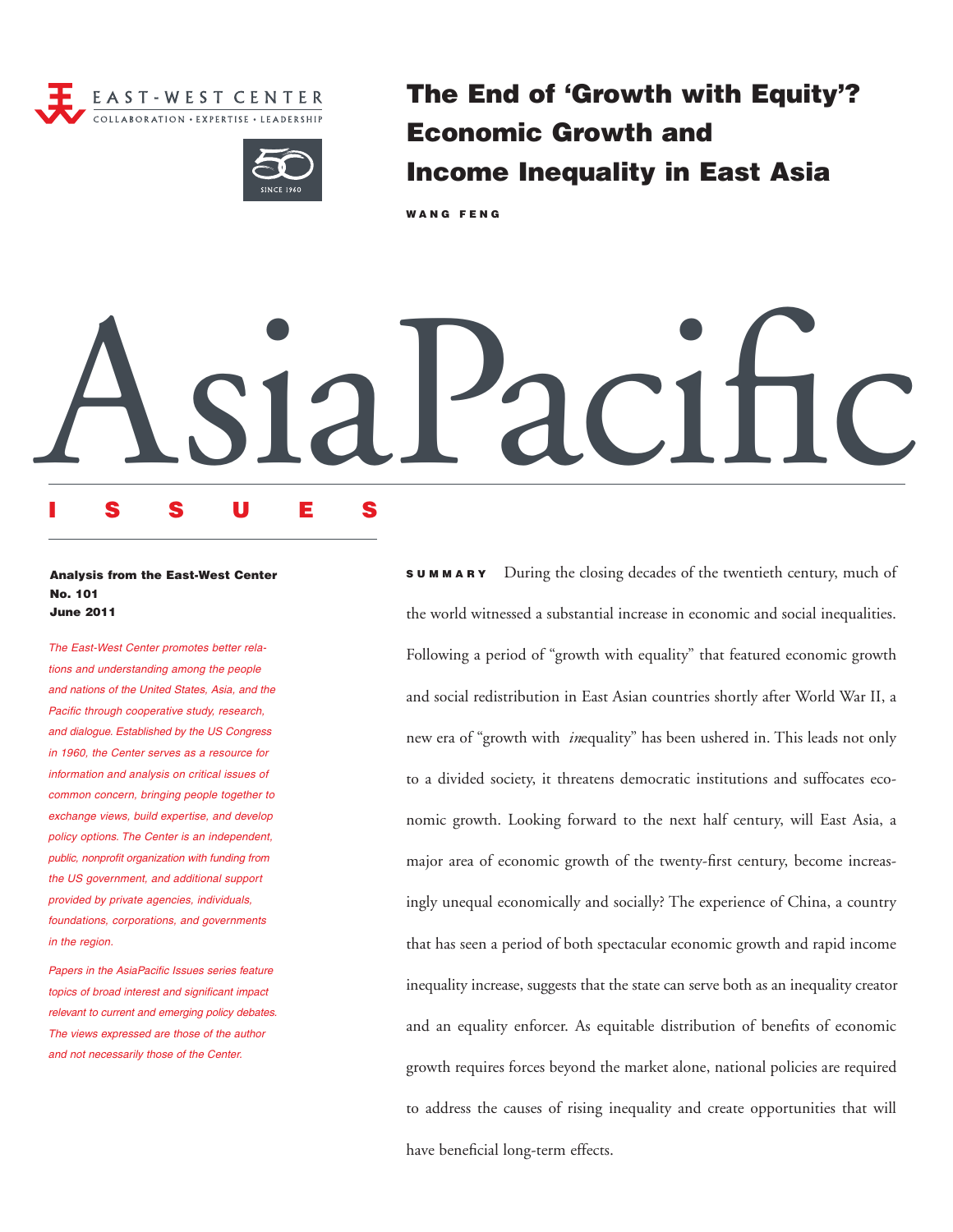



The End of 'Growth with Equity'? Economic Growth and Income Inequality in East Asia

W A N G F E N G

# AsiaPacific ISSUES

# Analysis from the East-West Center No. 101 June 2011

The East-West Center promotes better relations and understanding among the people and nations of the United States, Asia, and the Pacific through cooperative study, research, and dialogue. Established by the US Congress in 1960, the Center serves as a resource for information and analysis on critical issues of common concern, bringing people together to exchange views, build expertise, and develop policy options. The Center is an independent, public, nonprofit organization with funding from the US government, and additional support provided by private agencies, individuals, foundations, corporations, and governments in the region.

Papers in the AsiaPacific Issues series feature topics of broad interest and significant impact relevant to current and emerging policy debates. The views expressed are those of the author and not necessarily those of the Center.

SUMMAR <sup>Y</sup> During the closing decades of the twentieth century, much of the world witnessed a substantial increase in economic and social inequalities. Following a period of "growth with equality" that featured economic growth and social redistribution in East Asian countries shortly after World War II, a new era of "growth with *in*equality" has been ushered in. This leads not only to a divided society, it threatens democratic institutions and suffocates economic growth. Looking forward to the next half century, will East Asia, a major area of economic growth of the twenty-first century, become increasingly unequal economically and socially? The experience of China, a country that has seen a period of both spectacular economic growth and rapid income inequality increase, suggests that the state can serve both as an inequality creator and an equality enforcer. As equitable distribution of benefits of economic growth requires forces beyond the market alone, national policies are required to address the causes of rising inequality and create opportunities that will have beneficial long-term effects.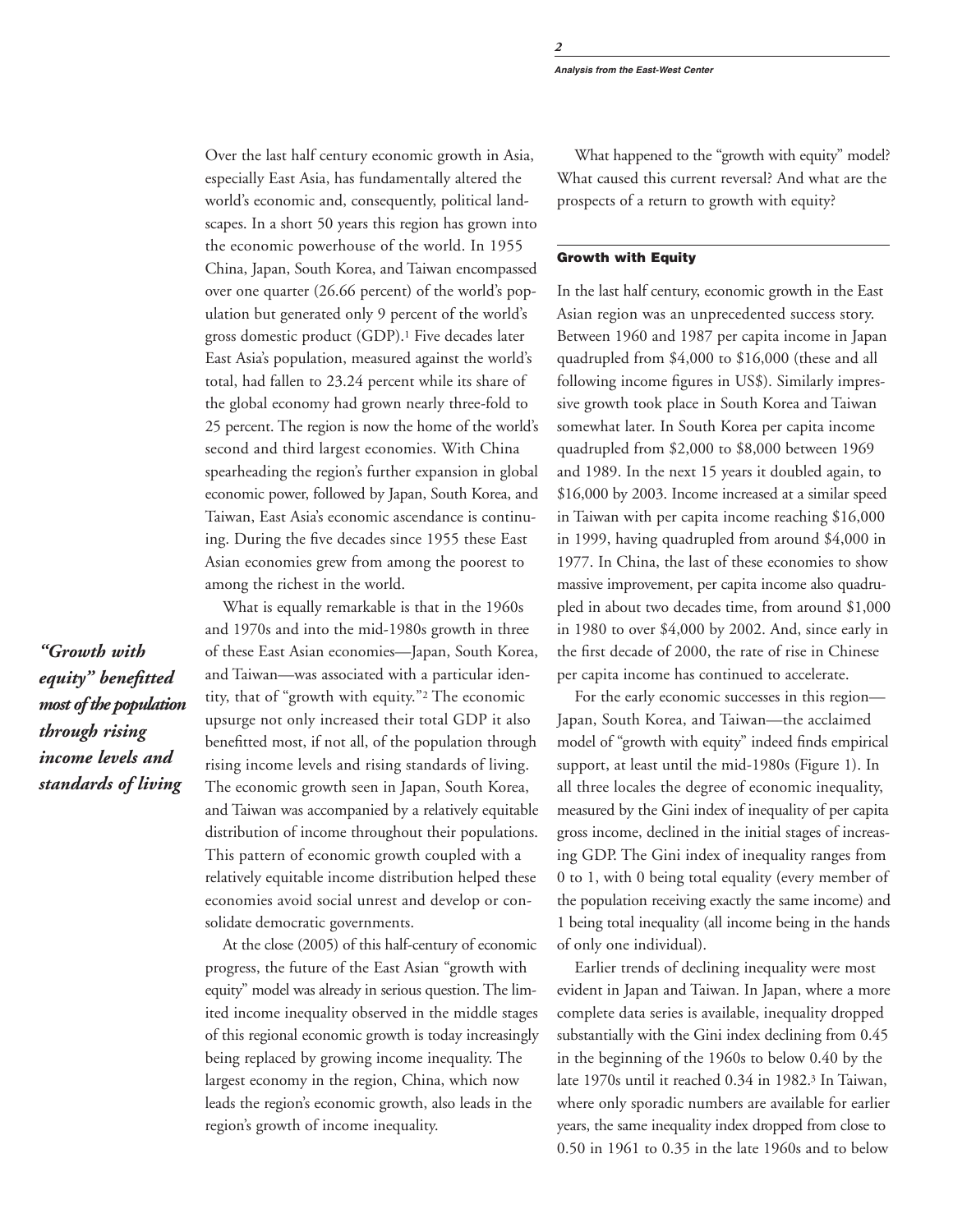Over the last half century economic growth in Asia, especially East Asia, has fundamentally altered the world's economic and, consequently, political landscapes. In a short 50 years this region has grown into the economic powerhouse of the world. In 1955 China, Japan, South Korea, and Taiwan encompassed over one quarter (26.66 percent) of the world's population but generated only 9 percent of the world's gross domestic product (GDP).1 Five decades later East Asia's population, measured against the world's total, had fallen to 23.24 percent while its share of the global economy had grown nearly three-fold to 25 percent. The region is now the home of the world's second and third largest economies. With China spearheading the region's further expansion in global economic power, followed by Japan, South Korea, and Taiwan, East Asia's economic ascendance is continuing. During the five decades since 1955 these East Asian economies grew from among the poorest to among the richest in the world.

What is equally remarkable is that in the 1960s and 1970s and into the mid-1980s growth in three of these East Asian economies—Japan, South Korea, and Taiwan—was associated with a particular identity, that of "growth with equity."2 The economic upsurge not only increased their total GDP it also benefitted most, if not all, of the population through rising income levels and rising standards of living. The economic growth seen in Japan, South Korea, and Taiwan was accompanied by a relatively equitable distribution of income throughout their populations. This pattern of economic growth coupled with a relatively equitable income distribution helped these economies avoid social unrest and develop or consolidate democratic governments.

At the close (2005) of this half-century of economic progress, the future of the East Asian "growth with equity" model was already in serious question. The limited income inequality observed in the middle stages of this regional economic growth is today increasingly being replaced by growing income inequality. The largest economy in the region, China, which now leads the region's economic growth, also leads in the region's growth of income inequality.

What happened to the "growth with equity" model? What caused this current reversal? And what are the prospects of a return to growth with equity?

# Growth with Equity

In the last half century, economic growth in the East Asian region was an unprecedented success story. Between 1960 and 1987 per capita income in Japan quadrupled from \$4,000 to \$16,000 (these and all following income figures in US\$). Similarly impressive growth took place in South Korea and Taiwan somewhat later. In South Korea per capita income quadrupled from \$2,000 to \$8,000 between 1969 and 1989. In the next 15 years it doubled again, to \$16,000 by 2003. Income increased at a similar speed in Taiwan with per capita income reaching \$16,000 in 1999, having quadrupled from around \$4,000 in 1977. In China, the last of these economies to show massive improvement, per capita income also quadrupled in about two decades time, from around \$1,000 in 1980 to over \$4,000 by 2002. And, since early in the first decade of 2000, the rate of rise in Chinese per capita income has continued to accelerate.

For the early economic successes in this region— Japan, South Korea, and Taiwan—the acclaimed model of "growth with equity" indeed finds empirical support, at least until the mid-1980s (Figure 1). In all three locales the degree of economic inequality, measured by the Gini index of inequality of per capita gross income, declined in the initial stages of increasing GDP. The Gini index of inequality ranges from 0 to 1, with 0 being total equality (every member of the population receiving exactly the same income) and 1 being total inequality (all income being in the hands of only one individual).

Earlier trends of declining inequality were most evident in Japan and Taiwan. In Japan, where a more complete data series is available, inequality dropped substantially with the Gini index declining from 0.45 in the beginning of the 1960s to below 0.40 by the late 1970s until it reached 0.34 in 1982.3 In Taiwan, where only sporadic numbers are available for earlier years, the same inequality index dropped from close to 0.50 in 1961 to 0.35 in the late 1960s and to below

*"Growth with equity" benefitted most of the population through rising income levels and standards of living*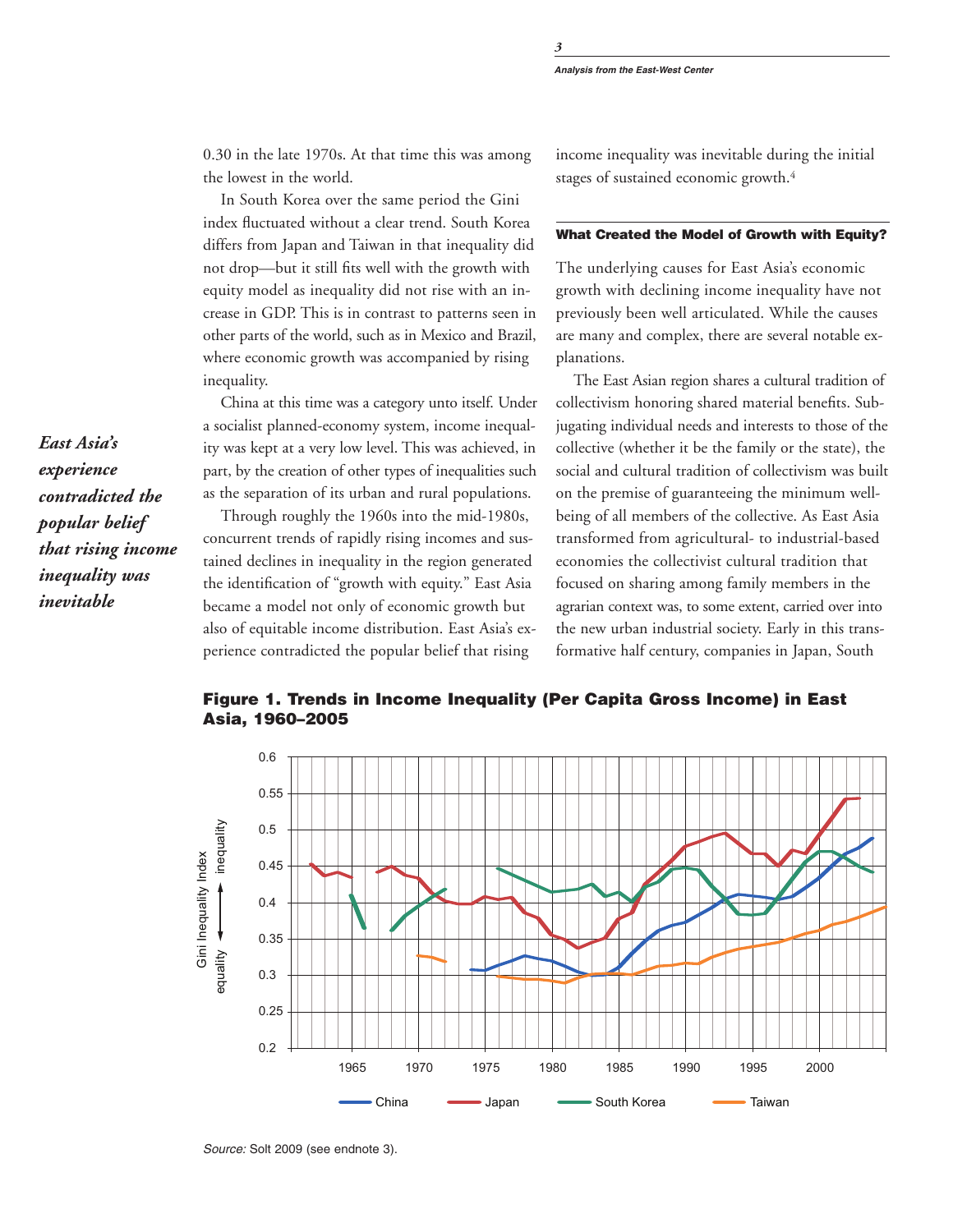0.30 in the late 1970s. At that time this was among the lowest in the world.

In South Korea over the same period the Gini index fluctuated without a clear trend. South Korea differs from Japan and Taiwan in that inequality did not drop—but it still fits well with the growth with equity model as inequality did not rise with an increase in GDP. This is in contrast to patterns seen in other parts of the world, such as in Mexico and Brazil, where economic growth was accompanied by rising inequality.

China at this time was a category unto itself. Under a socialist planned-economy system, income inequality was kept at a very low level. This was achieved, in part, by the creation of other types of inequalities such as the separation of its urban and rural populations.

Through roughly the 1960s into the mid-1980s, concurrent trends of rapidly rising incomes and sustained declines in inequality in the region generated the identification of "growth with equity." East Asia became a model not only of economic growth but also of equitable income distribution. East Asia's experience contradicted the popular belief that rising

income inequality was inevitable during the initial stages of sustained economic growth.4

# What Created the Model of Growth with Equity?

The underlying causes for East Asia's economic growth with declining income inequality have not previously been well articulated. While the causes are many and complex, there are several notable explanations.

The East Asian region shares a cultural tradition of collectivism honoring shared material benefits. Subjugating individual needs and interests to those of the collective (whether it be the family or the state), the social and cultural tradition of collectivism was built on the premise of guaranteeing the minimum wellbeing of all members of the collective. As East Asia transformed from agricultural- to industrial-based economies the collectivist cultural tradition that focused on sharing among family members in the agrarian context was, to some extent, carried over into the new urban industrial society. Early in this transformative half century, companies in Japan, South



Figure 1. Trends in Income Inequality (Per Capita Gross Income) in East Asia, 1960–2005

*East Asia's experience contradicted the popular belief that rising income inequality was inevitable*

Source: Solt 2009 (see endnote 3).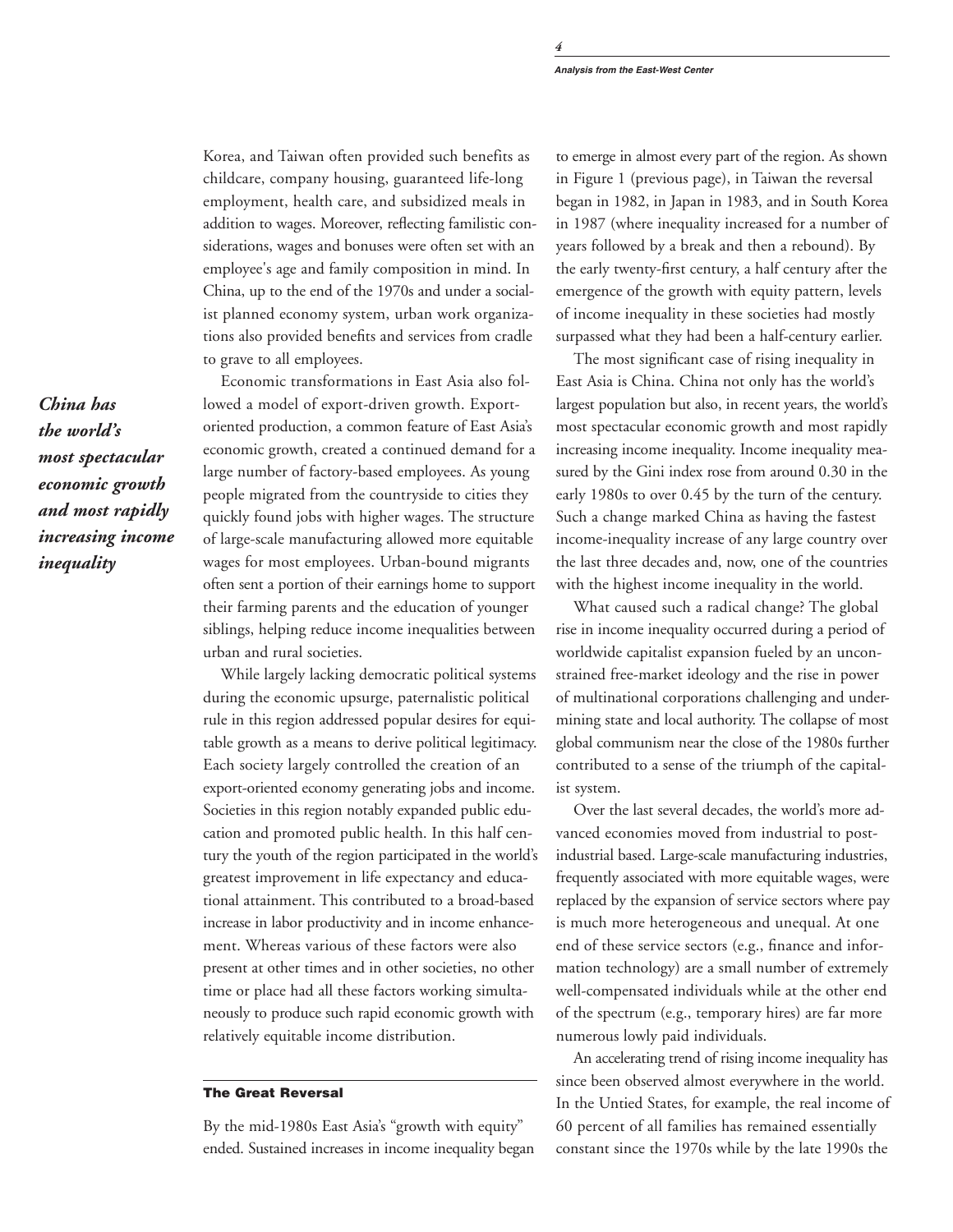**Analysis from the East-West Center**

Korea, and Taiwan often provided such benefits as childcare, company housing, guaranteed life-long employment, health care, and subsidized meals in addition to wages. Moreover, reflecting familistic considerations, wages and bonuses were often set with an employee's age and family composition in mind. In China, up to the end of the 1970s and under a socialist planned economy system, urban work organizations also provided benefits and services from cradle to grave to all employees.

Economic transformations in East Asia also followed a model of export-driven growth. Exportoriented production, a common feature of East Asia's economic growth, created a continued demand for a large number of factory-based employees. As young people migrated from the countryside to cities they quickly found jobs with higher wages. The structure of large-scale manufacturing allowed more equitable wages for most employees. Urban-bound migrants often sent a portion of their earnings home to support their farming parents and the education of younger siblings, helping reduce income inequalities between urban and rural societies.

While largely lacking democratic political systems during the economic upsurge, paternalistic political rule in this region addressed popular desires for equitable growth as a means to derive political legitimacy. Each society largely controlled the creation of an export-oriented economy generating jobs and income. Societies in this region notably expanded public education and promoted public health. In this half century the youth of the region participated in the world's greatest improvement in life expectancy and educational attainment. This contributed to a broad-based increase in labor productivity and in income enhancement. Whereas various of these factors were also present at other times and in other societies, no other time or place had all these factors working simultaneously to produce such rapid economic growth with relatively equitable income distribution.

# The Great Reversal

By the mid-1980s East Asia's "growth with equity" ended. Sustained increases in income inequality began to emerge in almost every part of the region. As shown in Figure 1 (previous page), in Taiwan the reversal began in 1982, in Japan in 1983, and in South Korea in 1987 (where inequality increased for a number of years followed by a break and then a rebound). By the early twenty-first century, a half century after the emergence of the growth with equity pattern, levels of income inequality in these societies had mostly surpassed what they had been a half-century earlier.

The most significant case of rising inequality in East Asia is China. China not only has the world's largest population but also, in recent years, the world's most spectacular economic growth and most rapidly increasing income inequality. Income inequality measured by the Gini index rose from around 0.30 in the early 1980s to over 0.45 by the turn of the century. Such a change marked China as having the fastest income-inequality increase of any large country over the last three decades and, now, one of the countries with the highest income inequality in the world.

What caused such a radical change? The global rise in income inequality occurred during a period of worldwide capitalist expansion fueled by an unconstrained free-market ideology and the rise in power of multinational corporations challenging and undermining state and local authority. The collapse of most global communism near the close of the 1980s further contributed to a sense of the triumph of the capitalist system.

Over the last several decades, the world's more advanced economies moved from industrial to postindustrial based. Large-scale manufacturing industries, frequently associated with more equitable wages, were replaced by the expansion of service sectors where pay is much more heterogeneous and unequal. At one end of these service sectors (e.g., finance and information technology) are a small number of extremely well-compensated individuals while at the other end of the spectrum (e.g., temporary hires) are far more numerous lowly paid individuals.

An accelerating trend of rising income inequality has since been observed almost everywhere in the world. In the Untied States, for example, the real income of 60 percent of all families has remained essentially constant since the 1970s while by the late 1990s the

*China has the world's most spectacular economic growth and most rapidly increasing income inequality*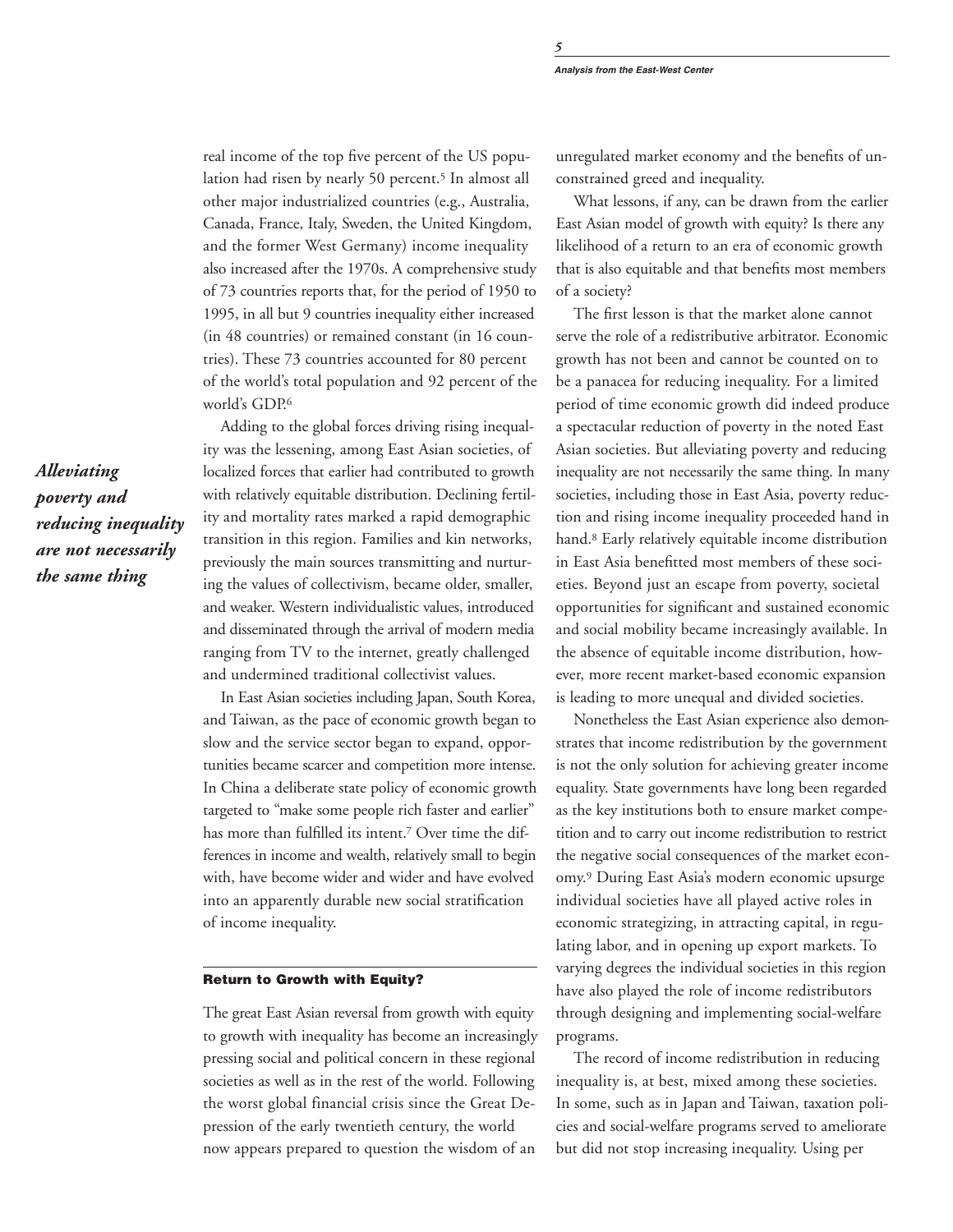real income of the top five percent of the US population had risen by nearly 50 percent.<sup>5</sup> In almost all other major industrialized countries (e.g., Australia, Canada, France, Italy, Sweden, the United Kingdom, and the former West Germany) income inequality also increased after the 1970s. A comprehensive study of 73 countries reports that, for the period of 1950 to 1995, in all but 9 countries inequality either increased (in 48 countries) or remained constant (in 16 countries). These 73 countries accounted for 80 percent of the world's total population and 92 percent of the world's GDP.6

Adding to the global forces driving rising inequality was the lessening, among East Asian societies, of localized forces that earlier had contributed to growth with relatively equitable distribution. Declining fertility and mortality rates marked a rapid demographic transition in this region. Families and kin networks, previously the main sources transmitting and nurturing the values of collectivism, became older, smaller, and weaker. Western individualistic values, introduced and disseminated through the arrival of modern media ranging from TV to the internet, greatly challenged and undermined traditional collectivist values.

In East Asian societies including Japan, South Korea, and Taiwan, as the pace of economic growth began to slow and the service sector began to expand, opportunities became scarcer and competition more intense. In China a deliberate state policy of economic growth targeted to "make some people rich faster and earlier" has more than fulfilled its intent.7 Over time the differences in income and wealth, relatively small to begin with, have become wider and wider and have evolved into an apparently durable new social stratification of income inequality.

# Return to Growth with Equity?

The great East Asian reversal from growth with equity to growth with inequality has become an increasingly pressing social and political concern in these regional societies as well as in the rest of the world. Following the worst global financial crisis since the Great Depression of the early twentieth century, the world now appears prepared to question the wisdom of an

unregulated market economy and the benefits of unconstrained greed and inequality.

What lessons, if any, can be drawn from the earlier East Asian model of growth with equity? Is there any likelihood of a return to an era of economic growth that is also equitable and that benefits most members of a society?

The first lesson is that the market alone cannot serve the role of a redistributive arbitrator. Economic growth has not been and cannot be counted on to be a panacea for reducing inequality. For a limited period of time economic growth did indeed produce a spectacular reduction of poverty in the noted East Asian societies. But alleviating poverty and reducing inequality are not necessarily the same thing. In many societies, including those in East Asia, poverty reduction and rising income inequality proceeded hand in hand.8 Early relatively equitable income distribution in East Asia benefitted most members of these societies. Beyond just an escape from poverty, societal opportunities for significant and sustained economic and social mobility became increasingly available. In the absence of equitable income distribution, however, more recent market-based economic expansion is leading to more unequal and divided societies.

Nonetheless the East Asian experience also demonstrates that income redistribution by the government is not the only solution for achieving greater income equality. State governments have long been regarded as the key institutions both to ensure market competition and to carry out income redistribution to restrict the negative social consequences of the market economy.9 During East Asia's modern economic upsurge individual societies have all played active roles in economic strategizing, in attracting capital, in regulating labor, and in opening up export markets. To varying degrees the individual societies in this region have also played the role of income redistributors through designing and implementing social-welfare programs.

The record of income redistribution in reducing inequality is, at best, mixed among these societies. In some, such as in Japan and Taiwan, taxation policies and social-welfare programs served to ameliorate but did not stop increasing inequality. Using per

*Alleviating poverty and reducing inequality are not necessarily the same thing*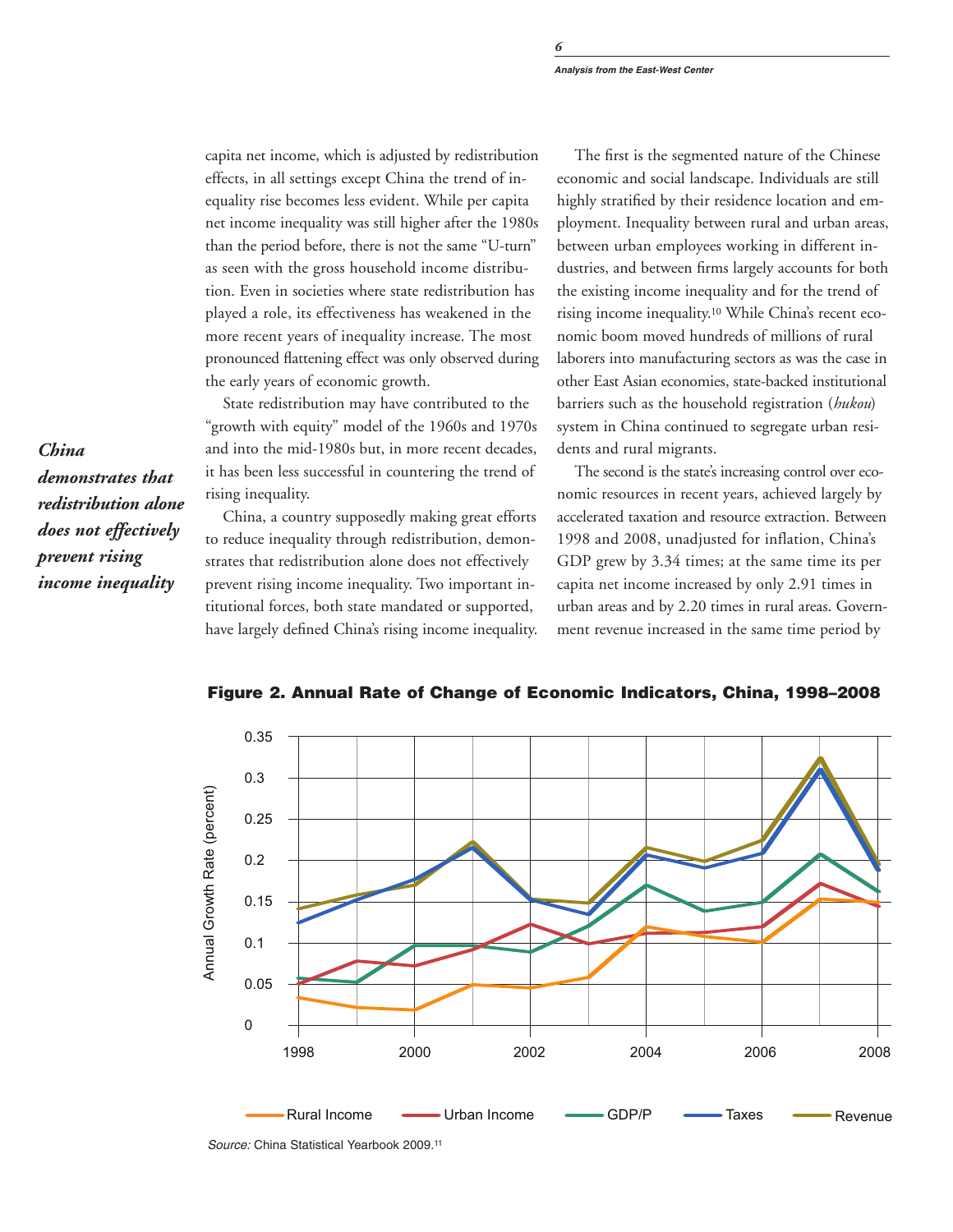capita net income, which is adjusted by redistribution effects, in all settings except China the trend of inequality rise becomes less evident. While per capita net income inequality was still higher after the 1980s than the period before, there is not the same "U-turn" as seen with the gross household income distribution. Even in societies where state redistribution has played a role, its effectiveness has weakened in the more recent years of inequality increase. The most pronounced flattening effect was only observed during the early years of economic growth.

State redistribution may have contributed to the "growth with equity" model of the 1960s and 1970s and into the mid-1980s but, in more recent decades, it has been less successful in countering the trend of rising inequality.

China, a country supposedly making great efforts to reduce inequality through redistribution, demonstrates that redistribution alone does not effectively prevent rising income inequality. Two important intitutional forces, both state mandated or supported, have largely defined China's rising income inequality.

The first is the segmented nature of the Chinese economic and social landscape. Individuals are still highly stratified by their residence location and employment. Inequality between rural and urban areas, between urban employees working in different industries, and between firms largely accounts for both the existing income inequality and for the trend of rising income inequality.10 While China's recent economic boom moved hundreds of millions of rural laborers into manufacturing sectors as was the case in other East Asian economies, state-backed institutional barriers such as the household registration (*hukou*) system in China continued to segregate urban residents and rural migrants.

The second is the state's increasing control over economic resources in recent years, achieved largely by accelerated taxation and resource extraction. Between 1998 and 2008, unadjusted for inflation, China's GDP grew by 3.34 times; at the same time its per capita net income increased by only 2.91 times in urban areas and by 2.20 times in rural areas. Government revenue increased in the same time period by





Figure 2. Annual Rate of Change of Economic Indicators, China, 1998–2008

*6*

Source: China Statistical Yearbook 2009.11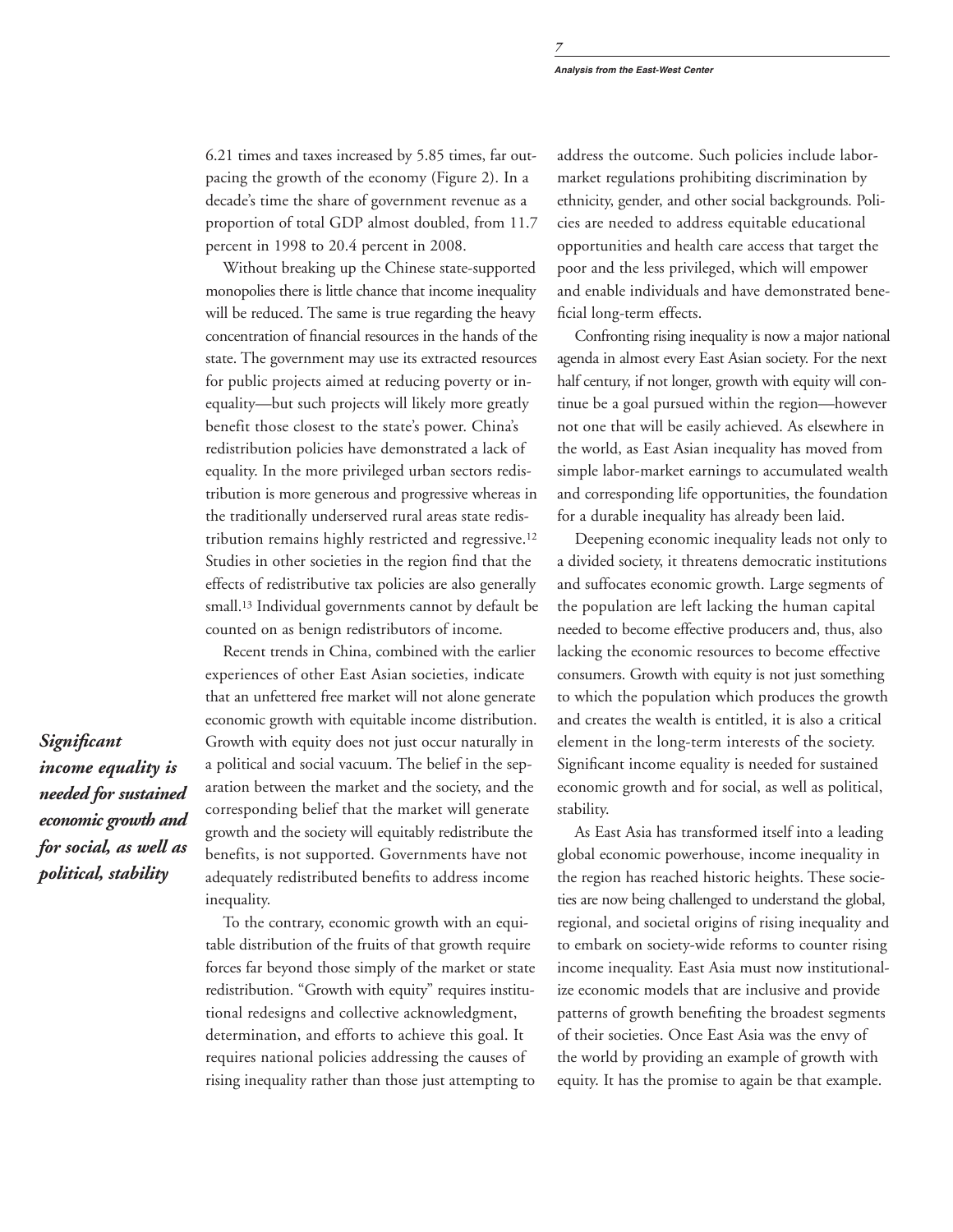6.21 times and taxes increased by 5.85 times, far outpacing the growth of the economy (Figure 2). In a decade's time the share of government revenue as a proportion of total GDP almost doubled, from 11.7 percent in 1998 to 20.4 percent in 2008.

Without breaking up the Chinese state-supported monopolies there is little chance that income inequality will be reduced. The same is true regarding the heavy concentration of financial resources in the hands of the state. The government may use its extracted resources for public projects aimed at reducing poverty or inequality—but such projects will likely more greatly benefit those closest to the state's power. China's redistribution policies have demonstrated a lack of equality. In the more privileged urban sectors redistribution is more generous and progressive whereas in the traditionally underserved rural areas state redistribution remains highly restricted and regressive.12 Studies in other societies in the region find that the effects of redistributive tax policies are also generally small.13 Individual governments cannot by default be counted on as benign redistributors of income.

Recent trends in China, combined with the earlier experiences of other East Asian societies, indicate that an unfettered free market will not alone generate economic growth with equitable income distribution. Growth with equity does not just occur naturally in a political and social vacuum. The belief in the separation between the market and the society, and the corresponding belief that the market will generate growth and the society will equitably redistribute the benefits, is not supported. Governments have not adequately redistributed benefits to address income inequality.

To the contrary, economic growth with an equitable distribution of the fruits of that growth require forces far beyond those simply of the market or state redistribution. "Growth with equity" requires institutional redesigns and collective acknowledgment, determination, and efforts to achieve this goal. It requires national policies addressing the causes of rising inequality rather than those just attempting to

address the outcome. Such policies include labormarket regulations prohibiting discrimination by ethnicity, gender, and other social backgrounds. Policies are needed to address equitable educational opportunities and health care access that target the poor and the less privileged, which will empower and enable individuals and have demonstrated beneficial long-term effects.

Confronting rising inequality is now a major national agenda in almost every East Asian society. For the next half century, if not longer, growth with equity will continue be a goal pursued within the region—however not one that will be easily achieved. As elsewhere in the world, as East Asian inequality has moved from simple labor-market earnings to accumulated wealth and corresponding life opportunities, the foundation for a durable inequality has already been laid.

Deepening economic inequality leads not only to a divided society, it threatens democratic institutions and suffocates economic growth. Large segments of the population are left lacking the human capital needed to become effective producers and, thus, also lacking the economic resources to become effective consumers. Growth with equity is not just something to which the population which produces the growth and creates the wealth is entitled, it is also a critical element in the long-term interests of the society. Significant income equality is needed for sustained economic growth and for social, as well as political, stability.

As East Asia has transformed itself into a leading global economic powerhouse, income inequality in the region has reached historic heights. These societies are now being challenged to understand the global, regional, and societal origins of rising inequality and to embark on society-wide reforms to counter rising income inequality. East Asia must now institutionalize economic models that are inclusive and provide patterns of growth benefiting the broadest segments of their societies. Once East Asia was the envy of the world by providing an example of growth with equity. It has the promise to again be that example.

*Significant income equality is needed for sustained economic growth and for social, as well as political, stability*